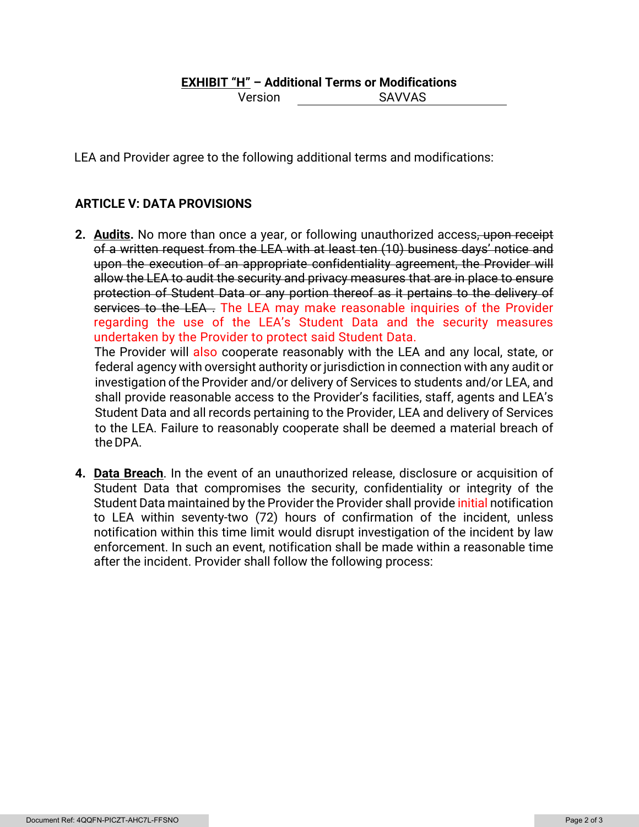## **EXHIBIT "H" – Additional Terms or Modifications**

Version SAVVAS

LEA and Provider agree to the following additional terms and modifications:

## **ARTICLE V: DATA PROVISIONS**

**2. Audits.** No more than once a year, or following unauthorized access, upon receipt of a written request from the LEA with at least ten (10) business days' notice and upon the execution of an appropriate confidentiality agreement, the Provider will allow the LEA to audit the security and privacy measures that are in place to ensure protection of Student Data or any portion thereof as it pertains to the delivery of services to the LEA. The LEA may make reasonable inquiries of the Provider regarding the use of the LEA's Student Data and the security measures undertaken by the Provider to protect said Student Data.

The Provider will also cooperate reasonably with the LEA and any local, state, or federal agency with oversight authority or jurisdiction in connection with any audit or investigation ofthe Provider and/or delivery of Services to students and/or LEA, and shall provide reasonable access to the Provider's facilities, staff, agents and LEA's Student Data and all records pertaining to the Provider, LEA and delivery of Services to the LEA. Failure to reasonably cooperate shall be deemed a material breach of the DPA.

**4. Data Breach**. In the event of an unauthorized release, disclosure or acquisition of Student Data that compromises the security, confidentiality or integrity of the Student Data maintained by the Provider the Provider shall provide *initial* notification to LEA within seventy-two (72) hours of confirmation of the incident, unless notification within this time limit would disrupt investigation of the incident by law enforcement. In such an event, notification shall be made within a reasonable time after the incident. Provider shall follow the following process: